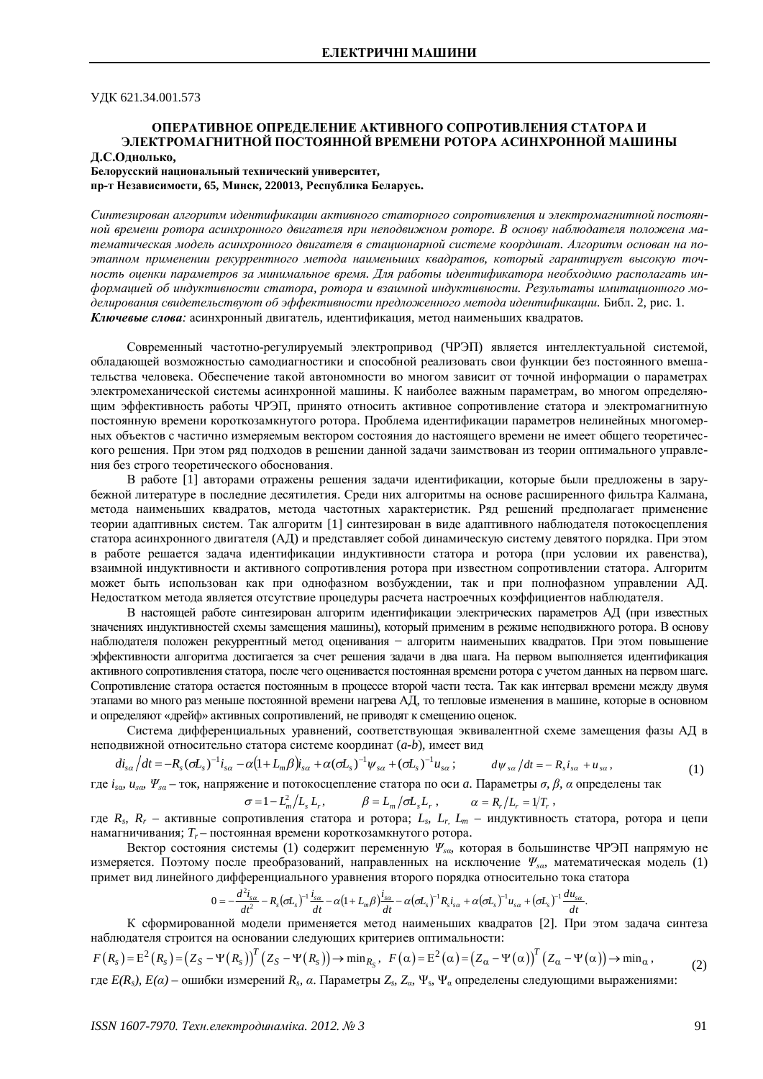УЛК 621.34.001.573

# **ОПЕРАТИВНОЕ ОПРЕДЕЛЕНИЕ АКТИВНОГО СОПРОТИВЛЕНИЯ СТАТОРА И** ЭЛЕКТРОМАГНИТНОЙ ПОСТОЯННОЙ ВРЕМЕНИ РОТОРА АСИНХРОННОЙ МАШИНЫ

#### **ȾɋɈɞɧɨɥɶɤɨ,**

Белорусский национальный технический университет, пр-т Независимости, 65, Минск, 220013, Республика Беларусь.

Синтезирован алгоритм идентификации активного статорного сопротивления и электромагнитной постоянной времени ротора асинхронного двигателя при неподвижном роторе. В основу наблюдателя положена математическая модель асинхронного двигателя в стационарной системе координат. Алгоритм основан на поэтапном применении рекуррентного метода наименьших квадратов, который гарантирует высокую точность оценки параметров за минимальное время. Для работы идентификатора необходимо располагать ин*ɮɨɪɦɚɰɢɟɣɨɛɢɧɞɭɤɬɢɜɧɨɫɬɢɫɬɚɬɨɪɚ, ɪɨɬɨɪɚɢɜɡɚɢɦɧɨɣɢɧɞɭɤɬɢɜɧɨɫɬɢ. Ɋɟɡɭɥɶɬɚɬɵɢɦɢɬɚɰɢɨɧɧɨɝɨɦɨ*делирования свидетельствуют об эффективности предложенного метода идентификации. Библ. 2, рис. 1. Ключевые слова: асинхронный лвигатель, илентификация, метол наименьших квалратов.

Современный частотно-регулируемый электропривод (ЧРЭП) является интеллектуальной системой, обладающей возможностью самодиагностики и способной реализовать свои функции без постоянного вмешательства человека. Обеспечение такой автономности во многом зависит от точной информации о параметрах электромеханической системы асинхронной машины. К наиболее важным параметрам, во многом определяющим эффективность работы ЧРЭП, принято относить активное сопротивление статора и электромагнитную постоянную времени короткозамкнутого ротора. Проблема илентификации параметров нелинейных многомерных объектов с частично измеряемым вектором состояния до настоящего времени не имеет общего теоретического решения. При этом ряд подходов в решении данной задачи заимствован из теории оптимального управления без строго теоретического обоснования.

В работе [1] авторами отражены решения задачи идентификации, которые были предложены в зарубежной литературе в последние десятилетия. Среди них алгоритмы на основе расширенного фильтра Калмана, метода наименьших квадратов, метода частотных характеристик. Ряд решений предполагает применение теории адаптивных систем. Так алгоритм [1] синтезирован в виде адаптивного наблюдателя потокосцепления статора асинхронного двигателя (АД) и представляет собой динамическую систему девятого порядка. При этом в работе решается задача идентификации индуктивности статора и ротора (при условии их равенства), взаимной индуктивности и активного сопротивления ротора при известном сопротивлении статора. Алгоритм может быть использован как при однофазном возбуждении, так и при полнофазном управлении АД. Нелостатком метола является отсутствие процелуры расчета настроечных коэффициентов наблюлателя.

В настоящей работе синтезирован алгоритм идентификации электрических параметров АД (при известных значениях индуктивностей схемы замещения машины), который применим в режиме неподвижного ротора. В основу наблюдателя положен рекуррентный метод оценивания - алгоритм наименьших квадратов. При этом повышение эффективности алгоритма достигается за счет решения задачи в два шага. На первом выполняется идентификация активного сопротивления статора, после чего оценивается постоянная времени ротора с учетом данных на первом шаге. Сопротивление статора остается постоянным в процессе второй части теста. Так как интервал времени между двумя этапами во много раз меньше постоянной времени нагрева АД, то тепловые изменения в машине, которые в основном и определяют «дрейф» активных сопротивлений, не приводят к смещению оценок.

Система дифференциальных уравнений, соответствующая эквивалентной схеме замещения фазы АД в неподвижной относительно статора системе координат (*a-b*), имеет вид

$$
di_{s\alpha}/dt = -R_s(\sigma L_s)^{-1}i_{s\alpha} - \alpha(1 + L_m\beta)i_{s\alpha} + \alpha(\sigma L_s)^{-1}\psi_{s\alpha} + (\sigma L_s)^{-1}u_{s\alpha}; \qquad d\psi_{s\alpha}/dt = -R_s i_{s\alpha} + u_{s\alpha}, \qquad (1)
$$

где  $i_{sa}$ ,  $u_{sa}$ ,  $\nu_{sa}$  – ток, напряжение и потокосцепление статора по оси *а*. Параметры  $\sigma$ ,  $\beta$ ,  $\alpha$  определены так  $\sigma = 1 - L_m^2 / L_s L_r$  $\beta = L_m / \sigma L_s L_r$ ,  $\alpha = R_{r}/L_{r} = 1/T_{r}$ ,

где R<sub>s</sub>, R<sub>r</sub> – активные сопротивления статора и ротора; L<sub>s</sub>, L<sub>r,</sub> L<sub>m</sub> – индуктивность статора, ротора и цепи намагничивания; *T<sub>r</sub>* – постоянная времени короткозамкнутого ротора.

Вектор состояния системы (1) содержит переменную  $\Psi_{sa}$ , которая в большинстве ЧРЭП напрямую не измеряется. Поэтому после преобразований, направленных на исключение  $\Psi_{sa}$ , математическая модель (1) примет вил линейного лифференциального уравнения второго порядка относительно тока статора

$$
0=-\frac{d^2i_{s\alpha}}{dt^2}-R_s(\sigma L_s)^{-1}\frac{i_{s\alpha}}{dt}-\alpha(1+L_m\beta)\frac{i_{s\alpha}}{dt}-\alpha(\sigma L_s)^{-1}R_s i_{s\alpha}+\alpha(\sigma L_s)^{-1}u_{s\alpha}+(\sigma L_s)^{-1}\frac{du_{s\alpha}}{dt}.
$$

К сформированной модели применяется метод наименьших квадратов [2]. При этом задача синтеза наблюдателя строится на основании следующих критериев оптимальности:

$$
F(R_s) = E^2(R_s) = (Z_S - \Psi(R_s))^T (Z_S - \Psi(R_s)) \to \min_{R_S} F(\alpha) = E^2(\alpha) = (Z_\alpha - \Psi(\alpha))^T (Z_\alpha - \Psi(\alpha)) \to \min_{\alpha} ,
$$
 (2)

где  $E(R_s)$ ,  $E(a)$  – ошибки измерений  $R_s$ ,  $a$ . Параметры  $Z_s$ ,  $Z_a$ ,  $\Psi_s$ ,  $\Psi_a$  определены следующими выражениями: